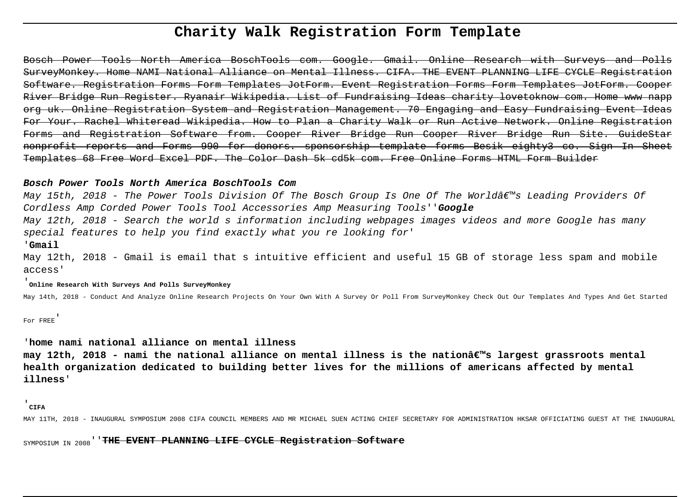# **Charity Walk Registration Form Template**

Bosch Power Tools North America BoschTools com. Google. Gmail. Online Research with Surveys and Polls SurveyMonkey. Home NAMI National Alliance on Mental Illness. CIFA. THE EVENT PLANNING LIFE CYCLE Registration Software. Registration Forms Form Templates JotForm. Event Registration Forms Form Templates JotForm. Cooper River Bridge Run Register. Ryanair Wikipedia. List of Fundraising Ideas charity lovetoknow com. Home www napp org uk. Online Registration System and Registration Management. 70 Engaging and Easy Fundraising Event Ideas For Your. Rachel Whiteread Wikipedia. How to Plan a Charity Walk or Run Active Network. Online Registration Forms and Registration Software from. Cooper River Bridge Run Cooper River Bridge Run Site. GuideStar nonprofit reports and Forms 990 for donors. sponsorship template forms Besik eighty3 co. Sign In Sheet Templates 68 Free Word Excel PDF. The Color Dash 5k cd5k com. Free Online Forms HTML Form Builder

# **Bosch Power Tools North America BoschTools Com**

May 15th, 2018 - The Power Tools Division Of The Bosch Group Is One Of The Worldâ $\epsilon^{\pi}$ s Leading Providers Of Cordless Amp Corded Power Tools Tool Accessories Amp Measuring Tools''**Google** May 12th, 2018 - Search the world s information including webpages images videos and more Google has many special features to help you find exactly what you re looking for' '**Gmail**

May 12th, 2018 - Gmail is email that s intuitive efficient and useful 15 GB of storage less spam and mobile access'

May 14th, 2018 - Conduct And Analyze Online Research Projects On Your Own With A Survey Or Poll From SurveyMonkey Check Out Our Templates And Types And Get Started

For FREE'

'**home nami national alliance on mental illness**

'**Online Research With Surveys And Polls SurveyMonkey**

**may 12th, 2018 - nami the national alliance on mental illness is the nation's largest grassroots mental health organization dedicated to building better lives for the millions of americans affected by mental illness**'

### '**CIFA**

MAY 11TH, 2018 - INAUGURAL SYMPOSIUM 2008 CIFA COUNCIL MEMBERS AND MR MICHAEL SUEN ACTING CHIEF SECRETARY FOR ADMINISTRATION HKSAR OFFICIATING GUEST AT THE INAUGURAL

SYMPOSIUM IN 2008''**THE EVENT PLANNING LIFE CYCLE Registration Software**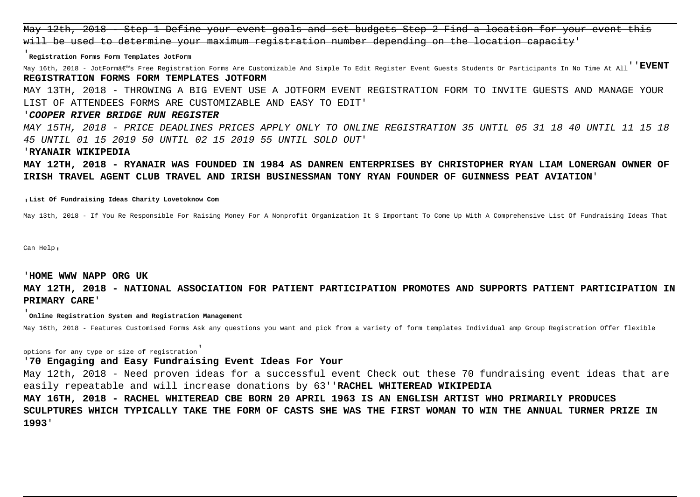May 12th, 2018 - Step 1 Define your event goals and set budgets Step 2 Find a location for your event this will be used to determine your maximum registration number depending on the location capacity'

'**Registration Forms Form Templates JotForm**

May 16th, 2018 – JotForm's Free Registration Forms Are Customizable And Simple To Edit Register Event Guests Students Or Participants In No Time At All <sup>''</sup>**EVENT REGISTRATION FORMS FORM TEMPLATES JOTFORM**

MAY 13TH, 2018 - THROWING A BIG EVENT USE A JOTFORM EVENT REGISTRATION FORM TO INVITE GUESTS AND MANAGE YOUR LIST OF ATTENDEES FORMS ARE CUSTOMIZABLE AND EASY TO EDIT'

#### '**COOPER RIVER BRIDGE RUN REGISTER**

MAY 15TH, 2018 - PRICE DEADLINES PRICES APPLY ONLY TO ONLINE REGISTRATION 35 UNTIL 05 31 18 40 UNTIL 11 15 18 45 UNTIL 01 15 2019 50 UNTIL 02 15 2019 55 UNTIL SOLD OUT'

# '**RYANAIR WIKIPEDIA**

**MAY 12TH, 2018 - RYANAIR WAS FOUNDED IN 1984 AS DANREN ENTERPRISES BY CHRISTOPHER RYAN LIAM LONERGAN OWNER OF IRISH TRAVEL AGENT CLUB TRAVEL AND IRISH BUSINESSMAN TONY RYAN FOUNDER OF GUINNESS PEAT AVIATION**'

#### '**List Of Fundraising Ideas Charity Lovetoknow Com**

May 13th, 2018 - If You Re Responsible For Raising Money For A Nonprofit Organization It S Important To Come Up With A Comprehensive List Of Fundraising Ideas That

Can Help'

#### '**HOME WWW NAPP ORG UK**

# **MAY 12TH, 2018 - NATIONAL ASSOCIATION FOR PATIENT PARTICIPATION PROMOTES AND SUPPORTS PATIENT PARTICIPATION IN PRIMARY CARE**'

#### '**Online Registration System and Registration Management**

May 16th, 2018 - Features Customised Forms Ask any questions you want and pick from a variety of form templates Individual amp Group Registration Offer flexible

## options for any type or size of registration'

# '**70 Engaging and Easy Fundraising Event Ideas For Your**

May 12th, 2018 - Need proven ideas for a successful event Check out these 70 fundraising event ideas that are easily repeatable and will increase donations by 63''**RACHEL WHITEREAD WIKIPEDIA MAY 16TH, 2018 - RACHEL WHITEREAD CBE BORN 20 APRIL 1963 IS AN ENGLISH ARTIST WHO PRIMARILY PRODUCES SCULPTURES WHICH TYPICALLY TAKE THE FORM OF CASTS SHE WAS THE FIRST WOMAN TO WIN THE ANNUAL TURNER PRIZE IN 1993**'